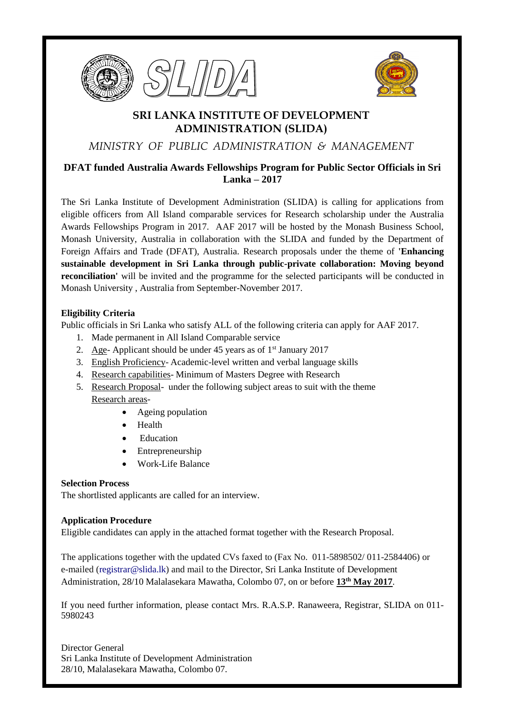





# **SRI LANKA INSTITUTE OF DEVELOPMENT ADMINISTRATION (SLIDA)**

*MINISTRY OF PUBLIC ADMINISTRATION & MANAGEMENT*

## **DFAT funded Australia Awards Fellowships Program for Public Sector Officials in Sri Lanka – 2017**

The Sri Lanka Institute of Development Administration (SLIDA) is calling for applications from eligible officers from All Island comparable services for Research scholarship under the Australia Awards Fellowships Program in 2017. AAF 2017 will be hosted by the Monash Business School, Monash University, Australia in collaboration with the SLIDA and funded by the Department of Foreign Affairs and Trade (DFAT), Australia. Research proposals under the theme of **'Enhancing sustainable development in Sri Lanka through public-private collaboration: Moving beyond reconciliation'** will be invited and the programme for the selected participants will be conducted in Monash University , Australia from September-November 2017.

#### **Eligibility Criteria**

Public officials in Sri Lanka who satisfy ALL of the following criteria can apply for AAF 2017.

- 1. Made permanent in All Island Comparable service
- 2. Age- Applicant should be under 45 years as of  $1<sup>st</sup>$  January 2017
- 3. English Proficiency- Academic-level written and verbal language skills
- 4. Research capabilities- Minimum of Masters Degree with Research
- 5. Research Proposal- under the following subject areas to suit with the theme Research areas-
	- Ageing population
		- Health
		- Education
		- Entrepreneurship
		- Work-Life Balance

#### **Selection Process**

The shortlisted applicants are called for an interview.

#### **Application Procedure**

Eligible candidates can apply in the attached format together with the Research Proposal.

The applications together with the updated CVs faxed to (Fax No. 011-5898502/ 011-2584406) or e-mailed [\(registrar@slida.lk\)](mailto:registrar@slida.lk) and mail to the Director, Sri Lanka Institute of Development Administration, 28/10 Malalasekara Mawatha, Colombo 07, on or before **13 th May 2017**.

If you need further information, please contact Mrs. R.A.S.P. Ranaweera, Registrar, SLIDA on 011- 5980243

Director General Sri Lanka Institute of Development Administration 28/10, Malalasekara Mawatha, Colombo 07.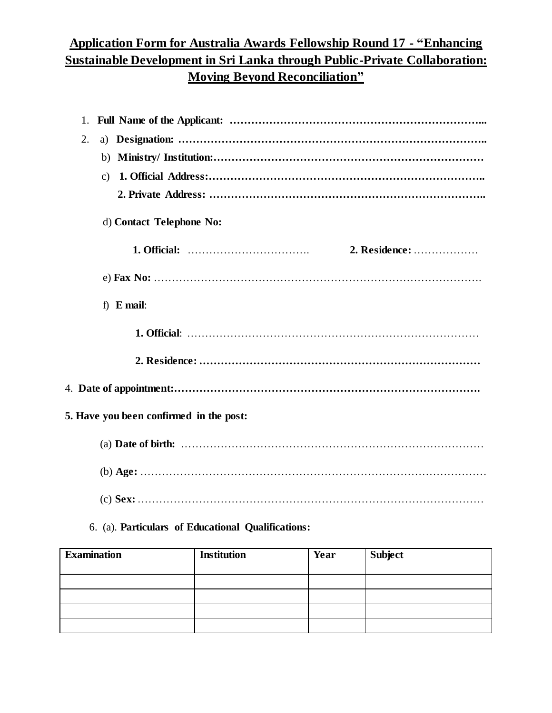# **Application Form for Australia Awards Fellowship Round 17 - "Enhancing Sustainable Development in Sri Lanka through Public-Private Collaboration: Moving Beyond Reconciliation"**

| 1.                                      |                                                                                                                                         |
|-----------------------------------------|-----------------------------------------------------------------------------------------------------------------------------------------|
| 2.                                      |                                                                                                                                         |
|                                         |                                                                                                                                         |
| c)                                      |                                                                                                                                         |
|                                         |                                                                                                                                         |
| d) Contact Telephone No:                |                                                                                                                                         |
|                                         | 2. Residence:                                                                                                                           |
|                                         |                                                                                                                                         |
| f) $E$ mail:                            |                                                                                                                                         |
|                                         |                                                                                                                                         |
|                                         |                                                                                                                                         |
|                                         |                                                                                                                                         |
| 5. Have you been confirmed in the post: |                                                                                                                                         |
|                                         | (a) Date of birth: $\ldots$ $\ldots$ $\ldots$ $\ldots$ $\ldots$ $\ldots$ $\ldots$ $\ldots$ $\ldots$ $\ldots$ $\ldots$ $\ldots$ $\ldots$ |
|                                         |                                                                                                                                         |
|                                         |                                                                                                                                         |

### 6. (a). **Particulars of Educational Qualifications:**

| <b>Examination</b> | <b>Institution</b> | Year | Subject |
|--------------------|--------------------|------|---------|
|                    |                    |      |         |
|                    |                    |      |         |
|                    |                    |      |         |
|                    |                    |      |         |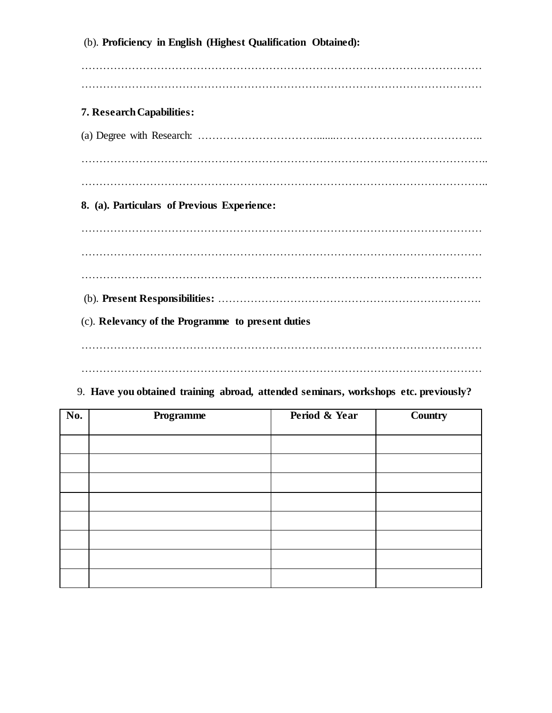(b). **Proficiency in English (Highest Qualification Obtained):**  ………………………………………………………………………………………………… ………………………………………………………………………………………………… **7. Research Capabilities:** (a) Degree with Research: …………………………….......………………………………….. ………………………………………………………………………………………………….. ………………………………………………………………………………………………….. **8. (a). Particulars of Previous Experience:** ………………………………………………………………………………………………… ………………………………………………………………………………………………… ………………………………………………………………………………………………… (b). **Present Responsibilities:** ………………………………………………………………. (c). **Relevancy of the Programme to present duties** ………………………………………………………………………………………………… …………………………………………………………………………………………………

#### 9. **Have you obtained training abroad, attended seminars, workshops etc. previously?**

| No. | Programme | Period & Year | <b>Country</b> |
|-----|-----------|---------------|----------------|
|     |           |               |                |
|     |           |               |                |
|     |           |               |                |
|     |           |               |                |
|     |           |               |                |
|     |           |               |                |
|     |           |               |                |
|     |           |               |                |